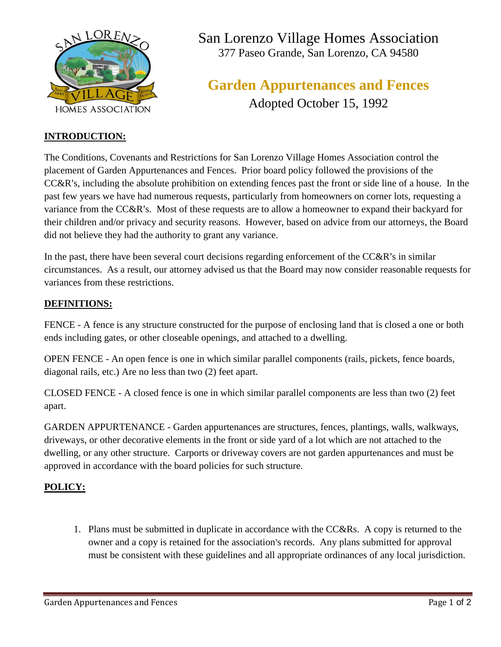

San Lorenzo Village Homes Association 377 Paseo Grande, San Lorenzo, CA 94580

# **Garden Appurtenances and Fences** Adopted October 15, 1992

### **INTRODUCTION:**

The Conditions, Covenants and Restrictions for San Lorenzo Village Homes Association control the placement of Garden Appurtenances and Fences. Prior board policy followed the provisions of the CC&R's, including the absolute prohibition on extending fences past the front or side line of a house. In the past few years we have had numerous requests, particularly from homeowners on corner lots, requesting a variance from the CC&R's. Most of these requests are to allow a homeowner to expand their backyard for their children and/or privacy and security reasons. However, based on advice from our attorneys, the Board did not believe they had the authority to grant any variance.

In the past, there have been several court decisions regarding enforcement of the  $CC&R$ 's in similar circumstances. As a result, our attorney advised us that the Board may now consider reasonable requests for variances from these restrictions.

### **DEFINITIONS:**

FENCE - A fence is any structure constructed for the purpose of enclosing land that is closed a one or both ends including gates, or other closeable openings, and attached to a dwelling.

OPEN FENCE - An open fence is one in which similar parallel components (rails, pickets, fence boards, diagonal rails, etc.) Are no less than two (2) feet apart.

CLOSED FENCE - A closed fence is one in which similar parallel components are less than two (2) feet apart.

GARDEN APPURTENANCE - Garden appurtenances are structures, fences, plantings, walls, walkways, driveways, or other decorative elements in the front or side yard of a lot which are not attached to the dwelling, or any other structure. Carports or driveway covers are not garden appurtenances and must be approved in accordance with the board policies for such structure.

## **POLICY:**

1. Plans must be submitted in duplicate in accordance with the CC&Rs. A copy is returned to the owner and a copy is retained for the association's records. Any plans submitted for approval must be consistent with these guidelines and all appropriate ordinances of any local jurisdiction.